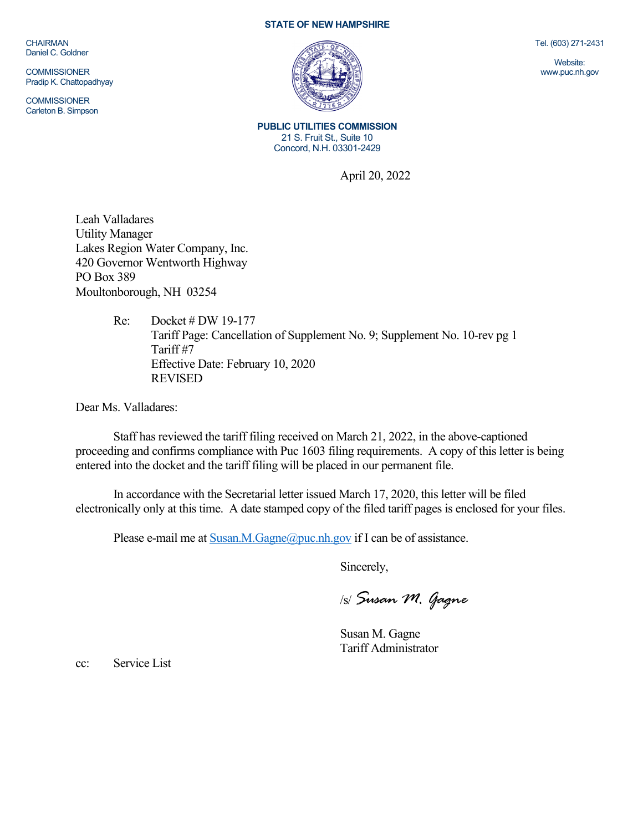**CHAIRMAN** Daniel C. Goldner

**COMMISSIONER** Pradip K. Chattopadhyay

**COMMISSIONER** Carleton B. Simpson

## **STATE OF NEW HAMPSHIRE**



**PUBLIC UTILITIES COMMISSION** 21 S. Fruit St., Suite 10 Concord, N.H. 03301-2429

April 20, 2022

Leah Valladares Utility Manager Lakes Region Water Company, Inc. 420 Governor Wentworth Highway PO Box 389 Moultonborough, NH 03254

> Re: Docket # DW 19-177 Tariff Page: Cancellation of Supplement No. 9; Supplement No. 10-rev pg 1 Tariff #7 Effective Date: February 10, 2020 REVISED

Dear Ms. Valladares:

Staff has reviewed the tariff filing received on March 21, 2022, in the above-captioned proceeding and confirms compliance with Puc 1603 filing requirements. A copy of this letter is being entered into the docket and the tariff filing will be placed in our permanent file.

In accordance with the Secretarial letter issued March 17, 2020, this letter will be filed electronically only at this time. A date stamped copy of the filed tariff pages is enclosed for your files.

Please e-mail me a[t Susan.M.Gagne@puc.nh.gov](mailto:Susan.M.Gagne@puc.nh.gov) if I can be of assistance.

Sincerely,

/s/ *Susan M. Gagne*

Susan M. Gagne Tariff Administrator

cc: Service List

Tel. (603) 271-2431

Website: www.puc.nh.gov